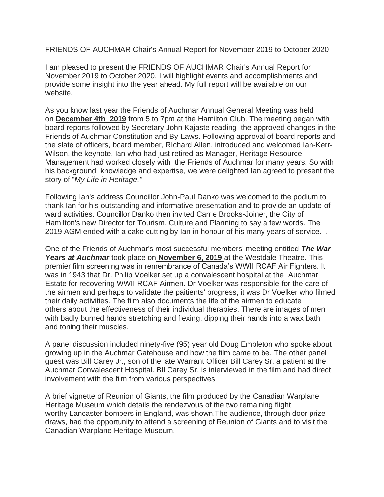FRIENDS OF AUCHMAR Chair's Annual Report for November 2019 to October 2020

I am pleased to present the FRIENDS OF AUCHMAR Chair's Annual Report for November 2019 to October 2020. I will highlight events and accomplishments and provide some insight into the year ahead. My full report will be available on our website.

As you know last year the Friends of Auchmar Annual General Meeting was held on **December 4th 2019** from 5 to 7pm at the Hamilton Club. The meeting began with board reports followed by Secretary John Kajaste reading the approved changes in the Friends of Auchmar Constitution and By-Laws. Following approval of board reports and the slate of officers, board member, RIchard Allen, introduced and welcomed Ian-Kerr-Wilson, the keynote. Ian who had just retired as Manager, Heritage Resource Management had worked closely with the Friends of Auchmar for many years. So with his background knowledge and expertise, we were delighted Ian agreed to present the story of "*My Life in Heritage."* 

Following Ian's address Councillor John-Paul Danko was welcomed to the podium to thank Ian for his outstanding and informative presentation and to provide an update of ward activities. Councillor Danko then invited Carrie Brooks-Joiner, the City of Hamilton's new Director for Tourism, Culture and Planning to say a few words. The 2019 AGM ended with a cake cutting by Ian in honour of his many years of service. .

One of the Friends of Auchmar's most successful members' meeting entitled *The War Years at Auchmar* took place on **November 6, 2019** at the Westdale Theatre. This premier film screening was in remembrance of Canada's WWII RCAF Air Fighters. It was in 1943 that Dr. Philip Voelker set up a convalescent hospital at the Auchmar Estate for recovering WWII RCAF Airmen. Dr Voelker was responsible for the care of the airmen and perhaps to validate the paitients' progress, it was Dr Voelker who filmed their daily activities. The film also documents the life of the airmen to educate others about the effectiveness of their individual therapies. There are images of men with badly burned hands stretching and flexing, dipping their hands into a wax bath and toning their muscles.

A panel discussion included ninety-five (95) year old Doug Embleton who spoke about growing up in the Auchmar Gatehouse and how the film came to be. The other panel guest was Bill Carey Jr., son of the late Warrant Officer Bill Carey Sr. a patient at the Auchmar Convalescent Hospital. BIl Carey Sr. is interviewed in the film and had direct involvement with the film from various perspectives.

A brief vignette of Reunion of Giants, the film produced by the Canadian Warplane Heritage Museum which details the rendezvous of the two remaining flight worthy Lancaster bombers in England, was shown.The audience, through door prize draws, had the opportunity to attend a screening of Reunion of Giants and to visit the Canadian Warplane Heritage Museum.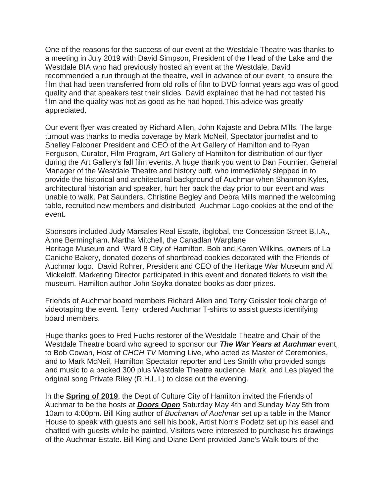One of the reasons for the success of our event at the Westdale Theatre was thanks to a meeting in July 2019 with David Simpson, President of the Head of the Lake and the Westdale BIA who had previously hosted an event at the Westdale. David recommended a run through at the theatre, well in advance of our event, to ensure the film that had been transferred from old rolls of film to DVD format years ago was of good quality and that speakers test their slides. David explained that he had not tested his film and the quality was not as good as he had hoped.This advice was greatly appreciated.

Our event flyer was created by Richard Allen, John Kajaste and Debra Mills. The large turnout was thanks to media coverage by Mark McNeil, Spectator journalist and to Shelley Falconer President and CEO of the Art Gallery of Hamilton and to Ryan Ferguson, Curator, Film Program, Art Gallery of Hamilton for distribution of our flyer during the Art Gallery's fall film events. A huge thank you went to Dan Fournier, General Manager of the Westdale Theatre and history buff, who immediately stepped in to provide the historical and architectural background of Auchmar when Shannon Kyles, architectural historian and speaker, hurt her back the day prior to our event and was unable to walk. Pat Saunders, Christine Begley and Debra Mills manned the welcoming table, recruited new members and distributed Auchmar Logo cookies at the end of the event.

Sponsors included Judy Marsales Real Estate, ibglobal, the Concession Street B.I.A., Anne Bermingham. Martha Mitchell, the Canadlan Warplane Heritage Museum and Ward 8 City of Hamilton. Bob and Karen Wilkins, owners of La Caniche Bakery, donated dozens of shortbread cookies decorated with the Friends of Auchmar logo. David Rohrer, President and CEO of the Heritage War Museum and Al Mickeloff, Marketing Director participated in this event and donated tickets to visit the museum. Hamilton author John Soyka donated books as door prizes.

Friends of Auchmar board members Richard Allen and Terry Geissler took charge of videotaping the event. Terry ordered Auchmar T-shirts to assist guests identifying board members.

Huge thanks goes to Fred Fuchs restorer of the Westdale Theatre and Chair of the Westdale Theatre board who agreed to sponsor our *The War Years at Auchmar* event, to Bob Cowan, Host of *CHCH TV* Morning Live, who acted as Master of Ceremonies, and to Mark McNeil, Hamilton Spectator reporter and Les Smith who provided songs and music to a packed 300 plus Westdale Theatre audience. Mark and Les played the original song Private Riley (R.H.L.I.) to close out the evening.

In the **Spring of 2019**, the Dept of Culture City of Hamilton invited the Friends of Auchmar to be the hosts at *Doors Open* Saturday May 4th and Sunday May 5th from 10am to 4:00pm. Bill King author of *Buchanan of Auchmar* set up a table in the Manor House to speak with guests and sell his book, Artist Norris Podetz set up his easel and chatted with guests while he painted. Visitors were interested to purchase his drawings of the Auchmar Estate. Bill King and Diane Dent provided Jane's Walk tours of the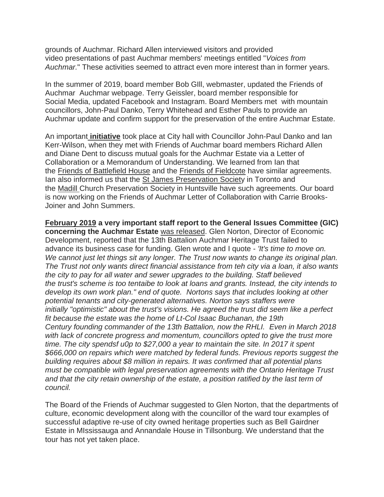grounds of Auchmar. Richard Allen interviewed visitors and provided video presentations of past Auchmar members' meetings entitled "*Voices from Auchmar.*" These activities seemed to attract even more interest than in former years.

In the summer of 2019, board member Bob GIll, webmaster, updated the Friends of Auchmar Auchmar webpage. Terry Geissler, board member responsible for Social Media, updated Facebook and Instagram. Board Members met with mountain councillors, John-Paul Danko, Terry Whitehead and Esther Pauls to provide an Auchmar update and confirm support for the preservation of the entire Auchmar Estate.

An important **initiative** took place at City hall with Councillor John-Paul Danko and Ian Kerr-Wilson, when they met with Friends of Auchmar board members Richard Allen and Diane Dent to discuss mutual goals for the Auchmar Estate via a Letter of Collaboration or a Memorandum of Understanding. We learned from Ian that the Friends of Battlefield House and the Friends of Fieldcote have similar agreements. Ian also informed us that the St James Preservation Society in Toronto and the Madill Church Preservation Society in Huntsville have such agreements. Our board is now working on the Friends of Auchmar Letter of Collaboration with Carrie Brooks-Joiner and John Summers.

**February 2019 a very important staff report to the General Issues Committee (GIC) concerning the Auchmar Estate** was released. Glen Norton, Director of Economic Development, reported that the 13th Battalion Auchmar Heritage Trust failed to advance its business case for funding. Glen wrote and I quote - *'It's time to move on. We cannot just let things sit any longer. The Trust now wants to change its original plan. The Trust not only wants direct financial assistance from teh city via a loan, it also wants the city to pay for all water and sewer upgrades to the building. Staff believed the trust's scheme is too tentaibe to look at loans and grants. Instead, the city intends to develop its own work plan." end of quote. Nortons says that includes looking at other potential tenants and city-generated alternatives. Norton says staffers were initially "optimistic" about the trust's visions. He agreed the trust did seem like a perfect fit because the estate was the home of Lt-Col Isaac Buchanan, the 19th Century founding commander of the 13th Battalion, now the RHLI. Even in March 2018 with lack of concrete progress and momentum, councillors opted to give the trust more time. The city spendsf u0p to \$27,000 a year to maintain the site. In 2017 it spent \$666,000 on repairs which were matched by federal funds. Previous reports suggest the building requires about \$8 million in repairs. It was confirmed that all potential plans must be compatible with legal preservation agreements with the Ontario Heritage Trust and that the city retain ownership of the estate, a position ratified by the last term of council.*

The Board of the Friends of Auchmar suggested to Glen Norton, that the departments of culture, economic development along with the councillor of the ward tour examples of successful adaptive re-use of city owned heritage properties such as Bell Gairdner Estate in MIssissauga and Annandale House in Tillsonburg. We understand that the tour has not yet taken place.